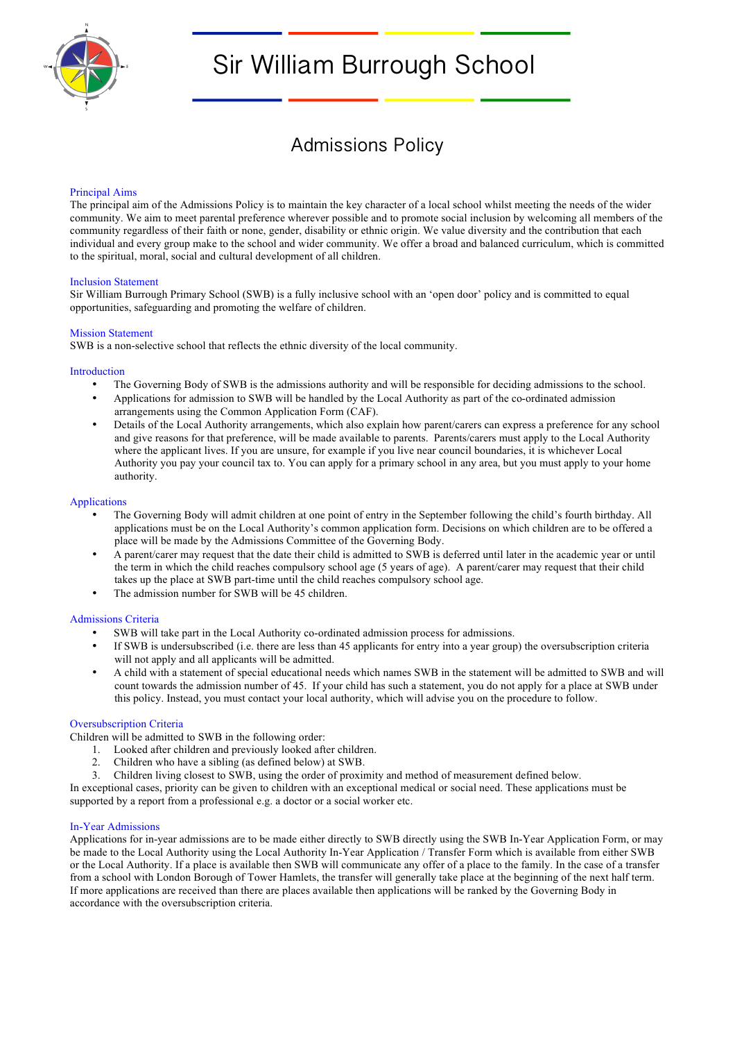

# Sir William Burrough School

# Admissions Policy

# Principal Aims

The principal aim of the Admissions Policy is to maintain the key character of a local school whilst meeting the needs of the wider community. We aim to meet parental preference wherever possible and to promote social inclusion by welcoming all members of the community regardless of their faith or none, gender, disability or ethnic origin. We value diversity and the contribution that each individual and every group make to the school and wider community. We offer a broad and balanced curriculum, which is committed to the spiritual, moral, social and cultural development of all children.

# Inclusion Statement

Sir William Burrough Primary School (SWB) is a fully inclusive school with an 'open door' policy and is committed to equal opportunities, safeguarding and promoting the welfare of children.

# Mission Statement

SWB is a non-selective school that reflects the ethnic diversity of the local community.

# Introduction

- The Governing Body of SWB is the admissions authority and will be responsible for deciding admissions to the school.
- Applications for admission to SWB will be handled by the Local Authority as part of the co-ordinated admission arrangements using the Common Application Form (CAF).
- Details of the Local Authority arrangements, which also explain how parent/carers can express a preference for any school and give reasons for that preference, will be made available to parents. Parents/carers must apply to the Local Authority where the applicant lives. If you are unsure, for example if you live near council boundaries, it is whichever Local Authority you pay your council tax to. You can apply for a primary school in any area, but you must apply to your home authority.

# Applications

- The Governing Body will admit children at one point of entry in the September following the child's fourth birthday. All applications must be on the Local Authority's common application form. Decisions on which children are to be offered a place will be made by the Admissions Committee of the Governing Body.
- A parent/carer may request that the date their child is admitted to SWB is deferred until later in the academic year or until the term in which the child reaches compulsory school age (5 years of age). A parent/carer may request that their child takes up the place at SWB part-time until the child reaches compulsory school age.
- The admission number for SWB will be 45 children.

# Admissions Criteria

- SWB will take part in the Local Authority co-ordinated admission process for admissions.
- If SWB is undersubscribed (i.e. there are less than 45 applicants for entry into a year group) the oversubscription criteria will not apply and all applicants will be admitted.
- A child with a statement of special educational needs which names SWB in the statement will be admitted to SWB and will count towards the admission number of 45. If your child has such a statement, you do not apply for a place at SWB under this policy. Instead, you must contact your local authority, which will advise you on the procedure to follow.

# Oversubscription Criteria

Children will be admitted to SWB in the following order:

- 1. Looked after children and previously looked after children.
- 2. Children who have a sibling (as defined below) at SWB.
- 3. Children living closest to SWB, using the order of proximity and method of measurement defined below.

In exceptional cases, priority can be given to children with an exceptional medical or social need. These applications must be supported by a report from a professional e.g. a doctor or a social worker etc.

# In-Year Admissions

Applications for in-year admissions are to be made either directly to SWB directly using the SWB In-Year Application Form, or may be made to the Local Authority using the Local Authority In-Year Application / Transfer Form which is available from either SWB or the Local Authority. If a place is available then SWB will communicate any offer of a place to the family. In the case of a transfer from a school with London Borough of Tower Hamlets, the transfer will generally take place at the beginning of the next half term. If more applications are received than there are places available then applications will be ranked by the Governing Body in accordance with the oversubscription criteria.